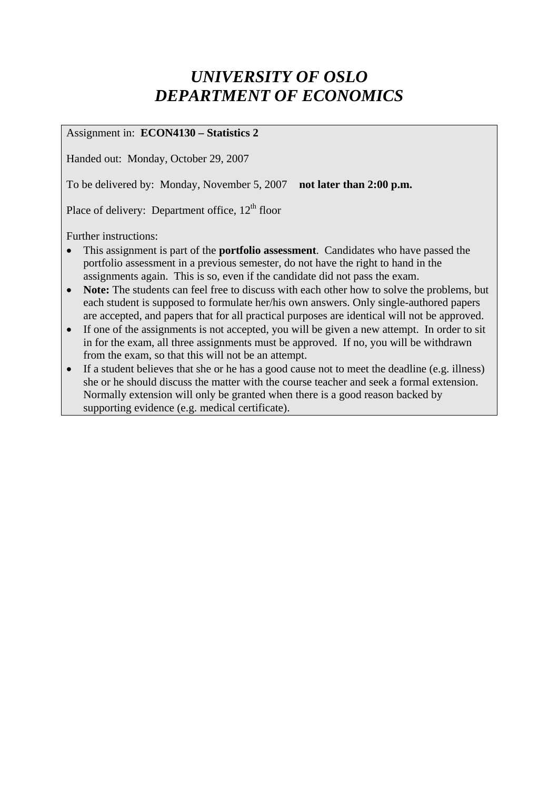# *UNIVERSITY OF OSLO DEPARTMENT OF ECONOMICS*

Assignment in: **ECON4130 – Statistics 2** 

Handed out: Monday, October 29, 2007

To be delivered by: Monday, November 5, 2007 **not later than 2:00 p.m.** 

Place of delivery: Department office,  $12<sup>th</sup>$  floor

Further instructions:

- This assignment is part of the **portfolio assessment**. Candidates who have passed the portfolio assessment in a previous semester, do not have the right to hand in the assignments again. This is so, even if the candidate did not pass the exam.
- **Note:** The students can feel free to discuss with each other how to solve the problems, but each student is supposed to formulate her/his own answers. Only single-authored papers are accepted, and papers that for all practical purposes are identical will not be approved.
- If one of the assignments is not accepted, you will be given a new attempt. In order to sit in for the exam, all three assignments must be approved. If no, you will be withdrawn from the exam, so that this will not be an attempt.
- If a student believes that she or he has a good cause not to meet the deadline (e.g. illness) she or he should discuss the matter with the course teacher and seek a formal extension. Normally extension will only be granted when there is a good reason backed by supporting evidence (e.g. medical certificate).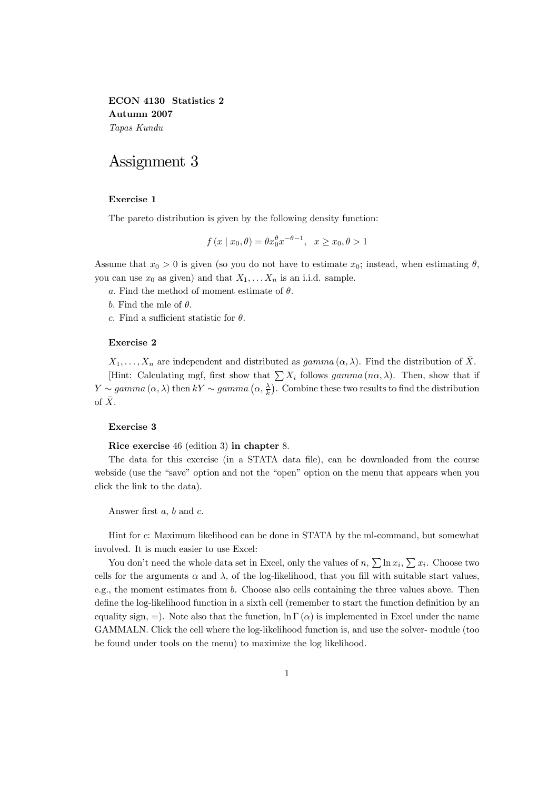ECON 4130 Statistics 2 Autumn 2007 Tapas Kundu

# Assignment 3

#### Exercise 1

The pareto distribution is given by the following density function:

$$
f(x \mid x_0, \theta) = \theta x_0^{\theta} x^{-\theta - 1}, \quad x \ge x_0, \theta > 1
$$

Assume that  $x_0 > 0$  is given (so you do not have to estimate  $x_0$ ; instead, when estimating  $\theta$ , you can use  $x_0$  as given) and that  $X_1, \ldots X_n$  is an i.i.d. sample.

a. Find the method of moment estimate of  $\theta$ .

b. Find the mle of  $\theta$ .

c. Find a sufficient statistic for  $\theta$ .

## Exercise 2

 $X_1,\ldots,X_n$  are independent and distributed as  $gamma(\alpha,\lambda)$ . Find the distribution of  $\overline{X}$ . [Hint: Calculating mgf, first show that  $\sum X_i$  follows gamma  $(n\alpha, \lambda)$ . Then, show that if  $Y \sim gamma(\alpha, \lambda)$  then  $kY \sim gamma(\alpha, \frac{\lambda}{k})$ . Combine these two results to find the distribution of  $\bar{X}$ .

### Exercise 3

Rice exercise 46 (edition 3) in chapter 8.

The data for this exercise (in a STATA data file), can be downloaded from the course webside (use the "save" option and not the "open" option on the menu that appears when you click the link to the data).

Answer first a, b and c.

Hint for c: Maximum likelihood can be done in STATA by the ml-command, but somewhat involved. It is much easier to use Excel:

You don't need the whole data set in Excel, only the values of  $n, \sum \ln x_i, \sum x_i$ . Choose two cells for the arguments  $\alpha$  and  $\lambda$ , of the log-likelihood, that you fill with suitable start values, e.g., the moment estimates from b. Choose also cells containing the three values above. Then define the log-likelihood function in a sixth cell (remember to start the function definition by an equality sign, =). Note also that the function,  $\ln \Gamma(\alpha)$  is implemented in Excel under the name GAMMALN. Click the cell where the log-likelihood function is, and use the solver- module (too be found under tools on the menu) to maximize the log likelihood.